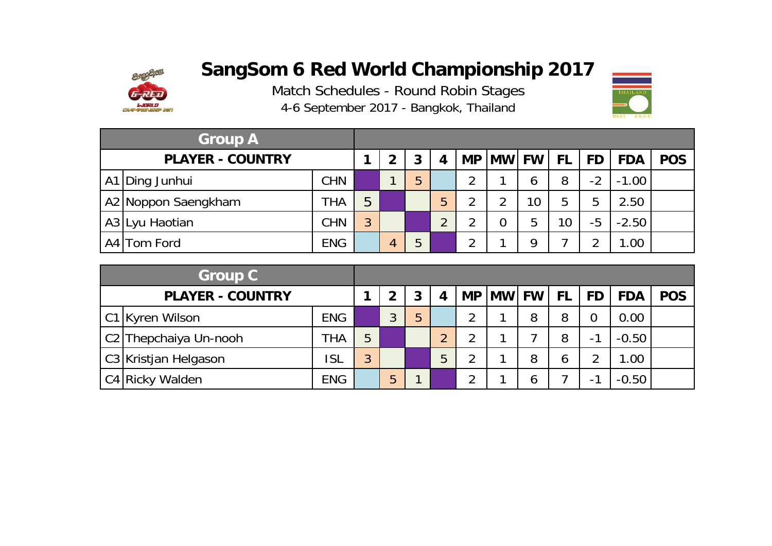

Match Schedules - Round Robin Sta ges 4-6 September 2017 - Bangkok, Thailand



| <b>Group A</b>          |            |   |                |   |   |               |                |                 |           |           |            |            |
|-------------------------|------------|---|----------------|---|---|---------------|----------------|-----------------|-----------|-----------|------------|------------|
| <b>PLAYER - COUNTRY</b> |            |   | $\overline{2}$ |   | 4 | <b>MP</b>     | <b>MW FW</b>   |                 | <b>FL</b> | <b>FD</b> | <b>FDA</b> | <b>POS</b> |
| A1 Ding Junhui          | <b>CHN</b> |   | ◀              | 5 |   | $\mathcal{P}$ |                | 6               | 8         | $-2$      | $-1.00$    |            |
| A2 Noppon Saengkham     | <b>THA</b> | 5 |                |   | 5 | ◠             | $\overline{2}$ | 10 <sup>°</sup> | 5         | 5         | 2.50       |            |
| A3 Lyu Haotian          | <b>CHN</b> | 3 |                |   | C | ⌒             | $\overline{0}$ | 5               | 10        | $-5$      | $-2.50$    |            |
| A4 Tom Ford             | <b>ENG</b> |   | 4              | 5 |   | っ             |                | Q               |           | ⌒         | 1.00       |            |

| <b>Group C</b>          |            |   |   |   |          |   |          |     |               |            |            |
|-------------------------|------------|---|---|---|----------|---|----------|-----|---------------|------------|------------|
| <b>PLAYER - COUNTRY</b> |            |   | ◠ | 3 |          |   | MP MW FW | FL. | <b>FD</b>     | <b>FDA</b> | <b>POS</b> |
| C1 Kyren Wilson         | <b>ENG</b> |   | 3 | 5 |          | ◠ | 8        | 8   | 0             | 0.00       |            |
| C2 Thepchaiya Un-nooh   | THA        | 5 |   |   | $\Omega$ | ◠ |          | 8   | ◀<br>$\sim$ 1 | $-0.50$    |            |
| C3 Kristjan Helgason    | ISL        | 3 |   |   | 5        | ⌒ | 8        | 6   | າ             | 1.00       |            |
| C4 Ricky Walden         | <b>ENG</b> |   | 5 | 1 |          | ⌒ | 6        |     | - 1           | $-0.50$    |            |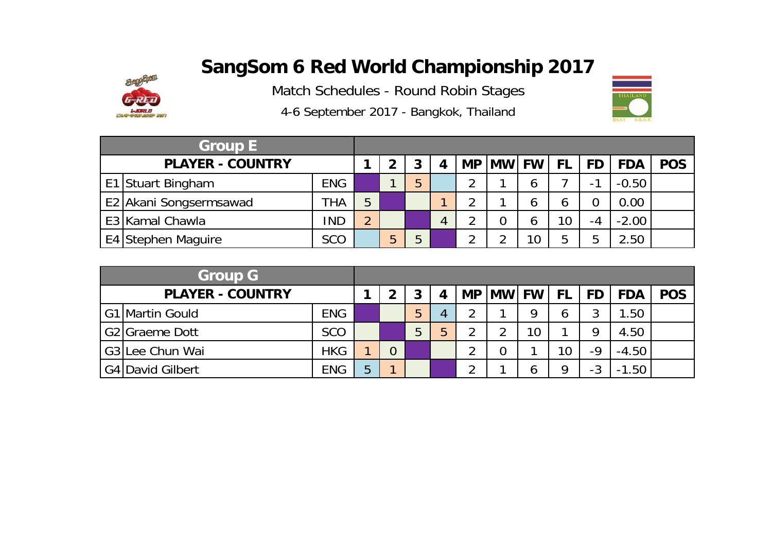

Match Schedules - Round Robin Stages

4-6 September 2017 - Bangkok, Thailand

| <b>Group E</b> |                         |            |          |   |   |           |              |          |     |           |            |            |
|----------------|-------------------------|------------|----------|---|---|-----------|--------------|----------|-----|-----------|------------|------------|
|                | <b>PLAYER - COUNTRY</b> |            |          |   | 3 | <b>MP</b> | <b>MW FW</b> |          | FL. | <b>FD</b> | <b>FDA</b> | <b>POS</b> |
|                | E1 Stuart Bingham       | <b>ENG</b> |          |   | 5 |           |              | O        |     | н.        | $-0.50$    |            |
|                | E2 Akani Songsermsawad  | <b>THA</b> | 5        |   |   |           |              | O        | O   |           | 0.00       |            |
|                | E3 Kamal Chawla         | <b>IND</b> | $\Omega$ |   |   |           |              | O        | 10  | -4        | $-2.00$    |            |
|                | E4 Stephen Maguire      | SCO        |          | b | 5 |           |              | $\Omega$ | 5   | 5         | 2.50       |            |

| <b>Group G</b>          |            |   |   |   |   |           |              |    |           |           |            |            |
|-------------------------|------------|---|---|---|---|-----------|--------------|----|-----------|-----------|------------|------------|
| <b>PLAYER - COUNTRY</b> |            |   | າ | 3 |   | <b>MP</b> | <b>MW FW</b> |    | <b>FL</b> | <b>FD</b> | <b>FDA</b> | <b>POS</b> |
| G1 Martin Gould         | <b>ENG</b> |   |   | 5 | 4 | ↑         |              | Q  | 6         | າ<br>J    | 1.50       |            |
| G2 Graeme Dott          | <b>SCO</b> |   |   | 5 | 5 | ◠         | ⌒            | 10 |           | Q         | 4.50       |            |
| G3 Lee Chun Wai         | <b>HKG</b> |   |   |   |   | ◠         | 0            |    | 10        | $-9$      | $-4.50$    |            |
| G4 David Gilbert        | <b>ENG</b> | 5 |   |   |   | ി         |              | O  | 9         | $-3$      | 1.50       |            |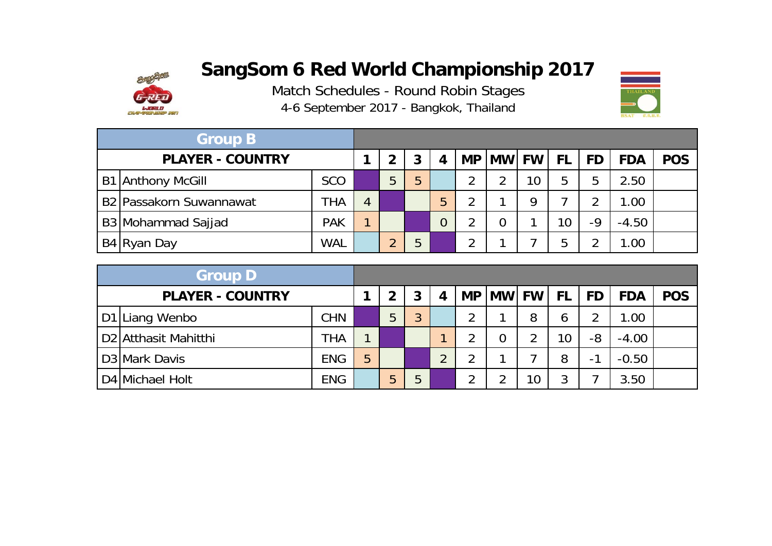

Match Schedules - Round Robin Sta ges 4-6 September 2017 - Bangkok, Thailand



| <b>Group B</b>                      |            |   |              |   |   |                |                |                 |       |           |            |            |
|-------------------------------------|------------|---|--------------|---|---|----------------|----------------|-----------------|-------|-----------|------------|------------|
| <b>PLAYER - COUNTRY</b>             |            |   | $\mathbf{2}$ | 3 |   | <b>MP</b>      | <b>MW</b>      |                 | FW FL | <b>FD</b> | <b>FDA</b> | <b>POS</b> |
| <b>B1 Anthony McGill</b>            | <b>SCO</b> |   | 5            | 5 |   | ာ              | റ              | 10 <sup>°</sup> | 5     | 5         | 2.50       |            |
| B <sub>2</sub> Passakorn Suwannawat | <b>THA</b> | 4 |              |   | 5 | $\overline{2}$ |                | Q               |       | ◠         | 1.00       |            |
| B3 Mohammad Sajjad                  | <b>PAK</b> |   |              |   | 0 | 2              | $\overline{0}$ |                 | 10    | $-9$      | $-4.50$    |            |
| B4 Ryan Day                         | <b>WAL</b> |   | $\Omega$     | 5 |   | っ              |                |                 | 5     | ⌒         | 1.00       |            |

| <b>Group D</b>                   |            |   |   |   |   |   |                |    |                 |                              |            |            |
|----------------------------------|------------|---|---|---|---|---|----------------|----|-----------------|------------------------------|------------|------------|
| <b>PLAYER - COUNTRY</b>          |            |   | 2 | 3 | 4 |   | MP MW FW       |    | <b>FL</b>       | <b>FD</b>                    | <b>FDA</b> | <b>POS</b> |
| D1 Liang Wenbo                   | <b>CHN</b> |   | 5 | 3 |   | ⌒ |                | 8  | 6               | 2                            | 1.00       |            |
| D <sub>2</sub> Atthasit Mahitthi | <b>THA</b> |   |   |   |   | ◠ | $\overline{0}$ | ာ  | 10 <sup>°</sup> | -8                           | $-4.00$    |            |
| D <sub>3</sub> Mark Davis        | <b>ENG</b> | 5 |   |   | C | ◠ |                |    | 8               | $\mathbf{\mathcal{L}}$<br>Ξ. | $-0.50$    |            |
| D4 Michael Holt                  | <b>ENG</b> |   | 5 | 5 |   | ኅ | າ              | 10 | 3               |                              | 3.50       |            |